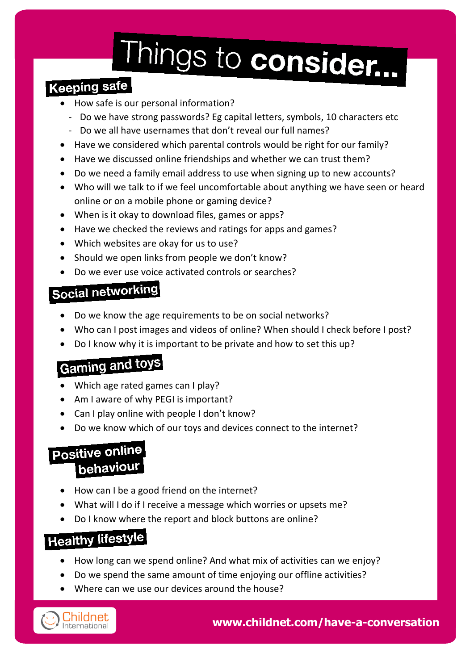# Things to consider...

#### **Keeping safe**

- How safe is our personal information?
	- Do we have strong passwords? Eg capital letters, symbols, 10 characters etc
	- Do we all have usernames that don't reveal our full names?
- Have we considered which parental controls would be right for our family?
- Have we discussed online friendships and whether we can trust them?
- Do we need a family email address to use when signing up to new accounts?
- Who will we talk to if we feel uncomfortable about anything we have seen or heard online or on a mobile phone or gaming device?
- When is it okay to download files, games or apps?
- Have we checked the reviews and ratings for apps and games?
- Which websites are okay for us to use?
- Should we open links from people we don't know?
- Do we ever use voice activated controls or searches?

#### Social networking

- Do we know the age requirements to be on social networks?
- Who can I post images and videos of online? When should I check before I post?
- Do I know why it is important to be private and how to set this up?

#### **Gaming and toys**

- Which age rated games can I play?
- Am I aware of why PEGI is important?
- Can I play online with people I don't know?
- Do we know which of our toys and devices connect to the internet?

#### Positive online behaviour

- How can I be a good friend on the internet?
- What will I do if I receive a message which worries or upsets me?
- Do I know where the report and block buttons are online?

#### **Healthy lifestyle**

- How long can we spend online? And what mix of activities can we enjoy?
- Do we spend the same amount of time enjoying our offline activities?
- Where can we use our devices around the house?



**www.childnet.com/have-a-conversation**